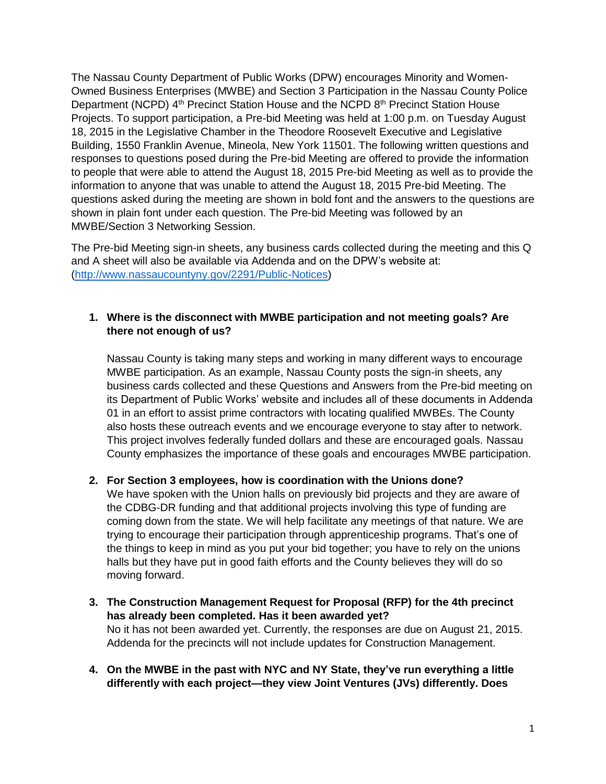The Nassau County Department of Public Works (DPW) encourages Minority and Women-Owned Business Enterprises (MWBE) and Section 3 Participation in the Nassau County Police Department (NCPD) 4<sup>th</sup> Precinct Station House and the NCPD 8<sup>th</sup> Precinct Station House Projects. To support participation, a Pre-bid Meeting was held at 1:00 p.m. on Tuesday August 18, 2015 in the Legislative Chamber in the Theodore Roosevelt Executive and Legislative Building, 1550 Franklin Avenue, Mineola, New York 11501. The following written questions and responses to questions posed during the Pre-bid Meeting are offered to provide the information to people that were able to attend the August 18, 2015 Pre-bid Meeting as well as to provide the information to anyone that was unable to attend the August 18, 2015 Pre-bid Meeting. The questions asked during the meeting are shown in bold font and the answers to the questions are shown in plain font under each question. The Pre-bid Meeting was followed by an MWBE/Section 3 Networking Session.

The Pre-bid Meeting sign-in sheets, any business cards collected during the meeting and this Q and A sheet will also be available via Addenda and on the DPW's website at: [\(http://www.nassaucountyny.gov/2291/Public-Notices\)](http://www.nassaucountyny.gov/2291/Public-Notices)

### **1. Where is the disconnect with MWBE participation and not meeting goals? Are there not enough of us?**

Nassau County is taking many steps and working in many different ways to encourage MWBE participation. As an example, Nassau County posts the sign-in sheets, any business cards collected and these Questions and Answers from the Pre-bid meeting on its Department of Public Works' website and includes all of these documents in Addenda 01 in an effort to assist prime contractors with locating qualified MWBEs. The County also hosts these outreach events and we encourage everyone to stay after to network. This project involves federally funded dollars and these are encouraged goals. Nassau County emphasizes the importance of these goals and encourages MWBE participation.

# **2. For Section 3 employees, how is coordination with the Unions done?**

We have spoken with the Union halls on previously bid projects and they are aware of the CDBG-DR funding and that additional projects involving this type of funding are coming down from the state. We will help facilitate any meetings of that nature. We are trying to encourage their participation through apprenticeship programs. That's one of the things to keep in mind as you put your bid together; you have to rely on the unions halls but they have put in good faith efforts and the County believes they will do so moving forward.

- **3. The Construction Management Request for Proposal (RFP) for the 4th precinct has already been completed. Has it been awarded yet?** No it has not been awarded yet. Currently, the responses are due on August 21, 2015. Addenda for the precincts will not include updates for Construction Management.
- **4. On the MWBE in the past with NYC and NY State, they've run everything a little differently with each project—they view Joint Ventures (JVs) differently. Does**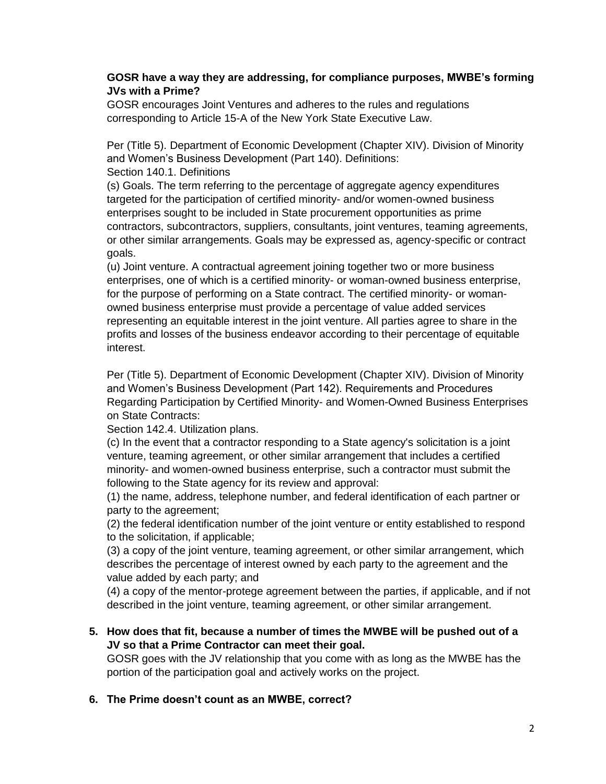### **GOSR have a way they are addressing, for compliance purposes, MWBE's forming JVs with a Prime?**

GOSR encourages Joint Ventures and adheres to the rules and regulations corresponding to Article 15-A of the New York State Executive Law.

Per (Title 5). Department of Economic Development (Chapter XIV). Division of Minority and Women's Business Development (Part 140). Definitions: Section 140.1. Definitions

(s) Goals. The term referring to the percentage of aggregate agency expenditures targeted for the participation of certified minority- and/or women-owned business enterprises sought to be included in State procurement opportunities as prime contractors, subcontractors, suppliers, consultants, joint ventures, teaming agreements, or other similar arrangements. Goals may be expressed as, agency-specific or contract goals.

(u) Joint venture. A contractual agreement joining together two or more business enterprises, one of which is a certified minority- or woman-owned business enterprise, for the purpose of performing on a State contract. The certified minority- or womanowned business enterprise must provide a percentage of value added services representing an equitable interest in the joint venture. All parties agree to share in the profits and losses of the business endeavor according to their percentage of equitable interest.

Per (Title 5). Department of Economic Development (Chapter XIV). Division of Minority and Women's Business Development (Part 142). Requirements and Procedures Regarding Participation by Certified Minority- and Women-Owned Business Enterprises on State Contracts:

Section 142.4. Utilization plans.

(c) In the event that a contractor responding to a State agency's solicitation is a joint venture, teaming agreement, or other similar arrangement that includes a certified minority- and women-owned business enterprise, such a contractor must submit the following to the State agency for its review and approval:

(1) the name, address, telephone number, and federal identification of each partner or party to the agreement;

(2) the federal identification number of the joint venture or entity established to respond to the solicitation, if applicable;

(3) a copy of the joint venture, teaming agreement, or other similar arrangement, which describes the percentage of interest owned by each party to the agreement and the value added by each party; and

(4) a copy of the mentor-protege agreement between the parties, if applicable, and if not described in the joint venture, teaming agreement, or other similar arrangement.

### **5. How does that fit, because a number of times the MWBE will be pushed out of a JV so that a Prime Contractor can meet their goal.**

GOSR goes with the JV relationship that you come with as long as the MWBE has the portion of the participation goal and actively works on the project.

# **6. The Prime doesn't count as an MWBE, correct?**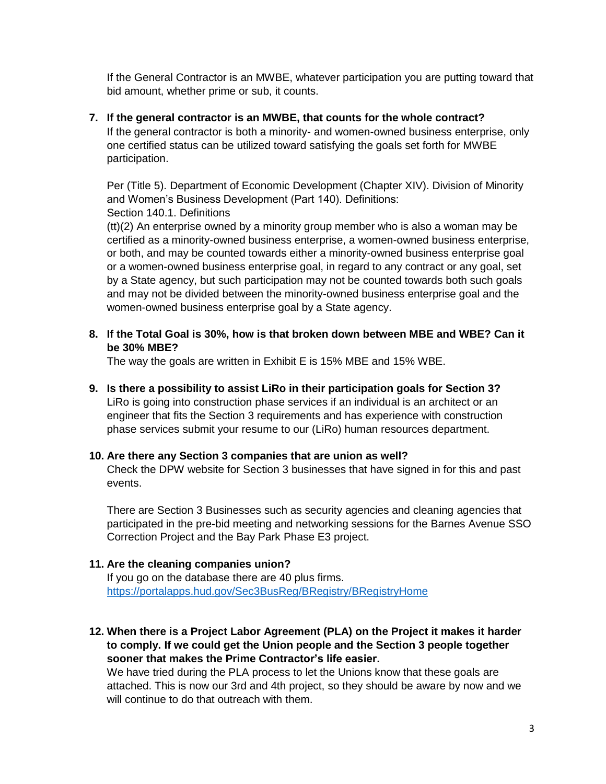If the General Contractor is an MWBE, whatever participation you are putting toward that bid amount, whether prime or sub, it counts.

#### **7. If the general contractor is an MWBE, that counts for the whole contract?**

If the general contractor is both a minority- and women-owned business enterprise, only one certified status can be utilized toward satisfying the goals set forth for MWBE participation.

Per (Title 5). Department of Economic Development (Chapter XIV). Division of Minority and Women's Business Development (Part 140). Definitions: Section 140.1. Definitions

(tt)(2) An enterprise owned by a minority group member who is also a woman may be certified as a minority-owned business enterprise, a women-owned business enterprise, or both, and may be counted towards either a minority-owned business enterprise goal or a women-owned business enterprise goal, in regard to any contract or any goal, set by a State agency, but such participation may not be counted towards both such goals and may not be divided between the minority-owned business enterprise goal and the women-owned business enterprise goal by a State agency.

## **8. If the Total Goal is 30%, how is that broken down between MBE and WBE? Can it be 30% MBE?**

The way the goals are written in Exhibit E is 15% MBE and 15% WBE.

### **9. Is there a possibility to assist LiRo in their participation goals for Section 3?**

LiRo is going into construction phase services if an individual is an architect or an engineer that fits the Section 3 requirements and has experience with construction phase services submit your resume to our (LiRo) human resources department.

### **10. Are there any Section 3 companies that are union as well?**

Check the DPW website for Section 3 businesses that have signed in for this and past events.

There are Section 3 Businesses such as security agencies and cleaning agencies that participated in the pre-bid meeting and networking sessions for the Barnes Avenue SSO Correction Project and the Bay Park Phase E3 project.

# **11. Are the cleaning companies union?**

If you go on the database there are 40 plus firms. <https://portalapps.hud.gov/Sec3BusReg/BRegistry/BRegistryHome>

# **12. When there is a Project Labor Agreement (PLA) on the Project it makes it harder to comply. If we could get the Union people and the Section 3 people together sooner that makes the Prime Contractor's life easier.**

We have tried during the PLA process to let the Unions know that these goals are attached. This is now our 3rd and 4th project, so they should be aware by now and we will continue to do that outreach with them.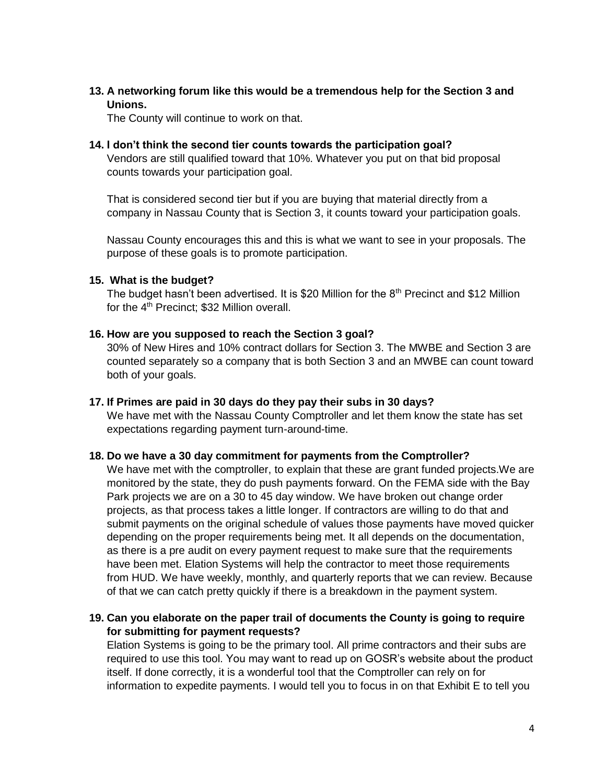**13. A networking forum like this would be a tremendous help for the Section 3 and Unions.**

The County will continue to work on that.

## **14. I don't think the second tier counts towards the participation goal?**

Vendors are still qualified toward that 10%. Whatever you put on that bid proposal counts towards your participation goal.

That is considered second tier but if you are buying that material directly from a company in Nassau County that is Section 3, it counts toward your participation goals.

Nassau County encourages this and this is what we want to see in your proposals. The purpose of these goals is to promote participation.

#### **15. What is the budget?**

The budget hasn't been advertised. It is \$20 Million for the  $8<sup>th</sup>$  Precinct and \$12 Million for the 4<sup>th</sup> Precinct; \$32 Million overall.

#### **16. How are you supposed to reach the Section 3 goal?**

30% of New Hires and 10% contract dollars for Section 3. The MWBE and Section 3 are counted separately so a company that is both Section 3 and an MWBE can count toward both of your goals.

#### **17. If Primes are paid in 30 days do they pay their subs in 30 days?**

We have met with the Nassau County Comptroller and let them know the state has set expectations regarding payment turn-around-time.

#### **18. Do we have a 30 day commitment for payments from the Comptroller?**

We have met with the comptroller, to explain that these are grant funded projects.We are monitored by the state, they do push payments forward. On the FEMA side with the Bay Park projects we are on a 30 to 45 day window. We have broken out change order projects, as that process takes a little longer. If contractors are willing to do that and submit payments on the original schedule of values those payments have moved quicker depending on the proper requirements being met. It all depends on the documentation, as there is a pre audit on every payment request to make sure that the requirements have been met. Elation Systems will help the contractor to meet those requirements from HUD. We have weekly, monthly, and quarterly reports that we can review. Because of that we can catch pretty quickly if there is a breakdown in the payment system.

### **19. Can you elaborate on the paper trail of documents the County is going to require for submitting for payment requests?**

Elation Systems is going to be the primary tool. All prime contractors and their subs are required to use this tool. You may want to read up on GOSR's website about the product itself. If done correctly, it is a wonderful tool that the Comptroller can rely on for information to expedite payments. I would tell you to focus in on that Exhibit E to tell you